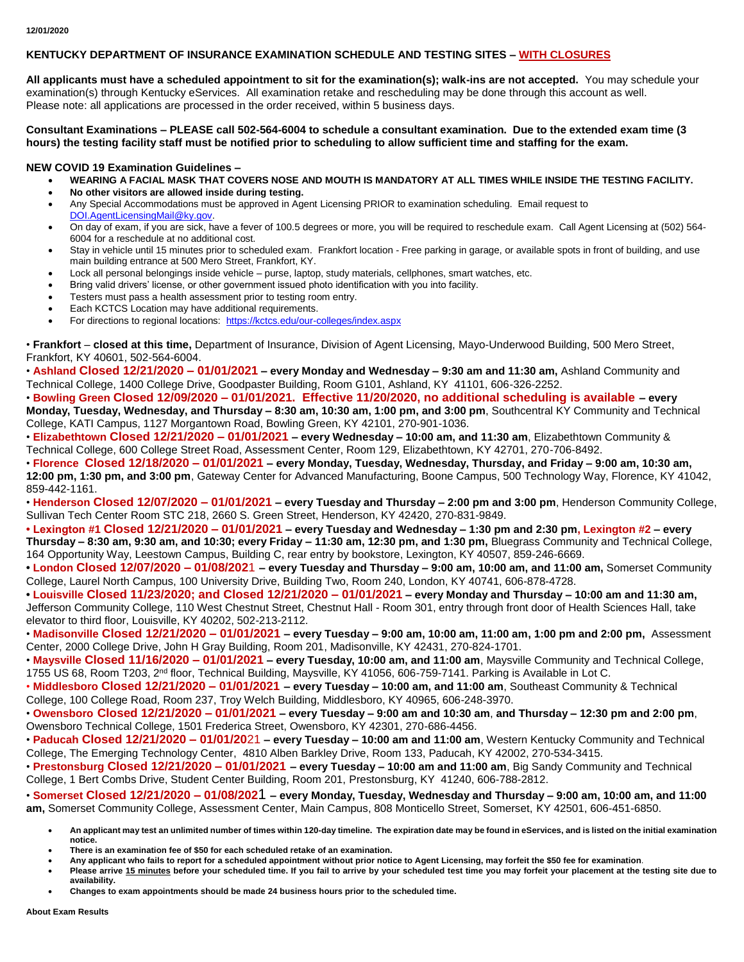## **KENTUCKY DEPARTMENT OF INSURANCE EXAMINATION SCHEDULE AND TESTING SITES – WITH CLOSURES**

**All applicants must have a scheduled appointment to sit for the examination(s); walk-ins are not accepted.** You may schedule your examination(s) through Kentucky eServices. All examination retake and rescheduling may be done through this account as well. Please note: all applications are processed in the order received, within 5 business days.

**Consultant Examinations – PLEASE call 502-564-6004 to schedule a consultant examination. Due to the extended exam time (3 hours) the testing facility staff must be notified prior to scheduling to allow sufficient time and staffing for the exam.**

## **NEW COVID 19 Examination Guidelines –**

- **WEARING A FACIAL MASK THAT COVERS NOSE AND MOUTH IS MANDATORY AT ALL TIMES WHILE INSIDE THE TESTING FACILITY.**
- **No other visitors are allowed inside during testing.**
- Any Special Accommodations must be approved in Agent Licensing PRIOR to examination scheduling. Email request to [DOI.AgentLicensingMail@ky.gov.](mailto:DOI.AgentLicensingMail@ky.gov)
- On day of exam, if you are sick, have a fever of 100.5 degrees or more, you will be required to reschedule exam. Call Agent Licensing at (502) 564- 6004 for a reschedule at no additional cost.
- Stay in vehicle until 15 minutes prior to scheduled exam. Frankfort location Free parking in garage, or available spots in front of building, and use main building entrance at 500 Mero Street, Frankfort, KY.
- Lock all personal belongings inside vehicle purse, laptop, study materials, cellphones, smart watches, etc.
- Bring valid drivers' license, or other government issued photo identification with you into facility.
- Testers must pass a health assessment prior to testing room entry.
- Each KCTCS Location may have additional requirements.
- For directions to regional locations: <https://kctcs.edu/our-colleges/index.aspx>

• **Frankfort** – **closed at this time,** Department of Insurance, Division of Agent Licensing, Mayo-Underwood Building, 500 Mero Street, Frankfort, KY 40601, 502-564-6004.

• **Ashland Closed 12/21/2020 – 01/01/2021 – every Monday and Wednesday – 9:30 am and 11:30 am,** Ashland Community and Technical College, 1400 College Drive, Goodpaster Building, Room G101, Ashland, KY 41101, 606-326-2252.

• **Bowling Green Closed 12/09/2020 – 01/01/2021. Effective 11/20/2020, no additional scheduling is available – every Monday, Tuesday, Wednesday, and Thursday – 8:30 am, 10:30 am, 1:00 pm, and 3:00 pm**, Southcentral KY Community and Technical College, KATI Campus, 1127 Morgantown Road, Bowling Green, KY 42101, 270-901-1036.

• **Elizabethtown Closed 12/21/2020 – 01/01/2021 – every Wednesday – 10:00 am, and 11:30 am**, Elizabethtown Community & Technical College, 600 College Street Road, Assessment Center, Room 129, Elizabethtown, KY 42701, 270-706-8492.

• **Florence Closed 12/18/2020 – 01/01/2021 – every Monday, Tuesday, Wednesday, Thursday, and Friday – 9:00 am, 10:30 am, 12:00 pm, 1:30 pm, and 3:00 pm**, Gateway Center for Advanced Manufacturing, Boone Campus, 500 Technology Way, Florence, KY 41042, 859-442-1161.

• **Henderson Closed 12/07/2020 – 01/01/2021 – every Tuesday and Thursday – 2:00 pm and 3:00 pm**, Henderson Community College, Sullivan Tech Center Room STC 218, 2660 S. Green Street, Henderson, KY 42420, 270-831-9849.

**• Lexington #1 Closed 12/21/2020 – 01/01/2021 – every Tuesday and Wednesday – 1:30 pm and 2:30 pm, Lexington #2 – every Thursday – 8:30 am, 9:30 am, and 10:30; every Friday – 11:30 am, 12:30 pm, and 1:30 pm,** Bluegrass Community and Technical College, 164 Opportunity Way, Leestown Campus, Building C, rear entry by bookstore, Lexington, KY 40507, 859-246-6669.

**• London Closed 12/07/2020 – 01/08/202**1 **– every Tuesday and Thursday – 9:00 am, 10:00 am, and 11:00 am,** Somerset Community College, Laurel North Campus, 100 University Drive, Building Two, Room 240, London, KY 40741, 606-878-4728.

**• Louisville Closed 11/23/2020; and Closed 12/21/2020 – 01/01/2021 – every Monday and Thursday – 10:00 am and 11:30 am,**  Jefferson Community College, 110 West Chestnut Street, Chestnut Hall - Room 301, entry through front door of Health Sciences Hall, take elevator to third floor, Louisville, KY 40202, 502-213-2112.

• **Madisonville Closed 12/21/2020 – 01/01/2021 – every Tuesday – 9:00 am, 10:00 am, 11:00 am, 1:00 pm and 2:00 pm,** Assessment Center, 2000 College Drive, John H Gray Building, Room 201, Madisonville, KY 42431, 270-824-1701.

• **Maysville Closed 11/16/2020 – 01/01/2021 – every Tuesday, 10:00 am, and 11:00 am**, Maysville Community and Technical College, 1755 US 68, Room T203, 2<sup>nd</sup> floor, Technical Building, Maysville, KY 41056, 606-759-7141. Parking is Available in Lot C.

• **Middlesboro Closed 12/21/2020 – 01/01/2021 – every Tuesday – 10:00 am, and 11:00 am**, Southeast Community & Technical College, 100 College Road, Room 237, Troy Welch Building, Middlesboro, KY 40965, 606-248-3970.

• **Owensboro Closed 12/21/2020 – 01/01/2021 – every Tuesday – 9:00 am and 10:30 am**, **and Thursday – 12:30 pm and 2:00 pm**, Owensboro Technical College, 1501 Frederica Street, Owensboro, KY 42301, 270-686-4456.

• **Paducah Closed 12/21/2020 – 01/01/20**21 **– every Tuesday – 10:00 am and 11:00 am**, Western Kentucky Community and Technical College, The Emerging Technology Center, 4810 Alben Barkley Drive, Room 133, Paducah, KY 42002, 270-534-3415.

• **Prestonsburg Closed 12/21/2020 – 01/01/2021 – every Tuesday – 10:00 am and 11:00 am**, Big Sandy Community and Technical College, 1 Bert Combs Drive, Student Center Building, Room 201, Prestonsburg, KY 41240, 606-788-2812.

• **Somerset Closed 12/21/2020 – 01/08/202**1 **– every Monday, Tuesday, Wednesday and Thursday – 9:00 am, 10:00 am, and 11:00 am,** Somerset Community College, Assessment Center, Main Campus, 808 Monticello Street, Somerset, KY 42501, 606-451-6850.

- **An applicant may test an unlimited number of times within 120-day timeline. The expiration date may be found in eServices, and is listed on the initial examination notice.**
- **There is an examination fee of \$50 for each scheduled retake of an examination.**

**Any applicant who fails to report for a scheduled appointment without prior notice to Agent Licensing, may forfeit the \$50 fee for examination**.

- **Please arrive 15 minutes before your scheduled time. If you fail to arrive by your scheduled test time you may forfeit your placement at the testing site due to availability.**
	- **Changes to exam appointments should be made 24 business hours prior to the scheduled time.**